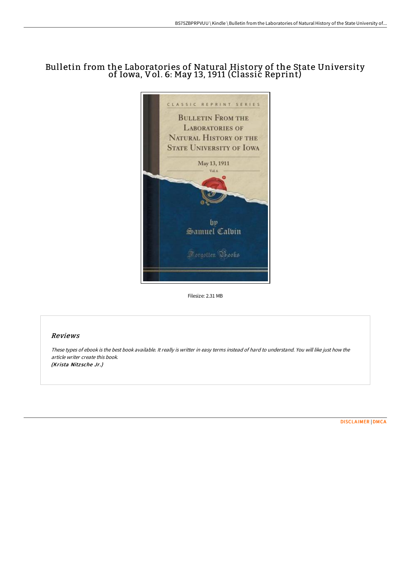# Bulletin from the Laboratories of Natural History of the State University of Iowa, Vol. 6: May 13, 1911 (Classic Reprint)



Filesize: 2.31 MB

## Reviews

These types of ebook is the best book available. It really is writter in easy terms instead of hard to understand. You will like just how the article writer create this book. (Krista Nitzsche Jr.)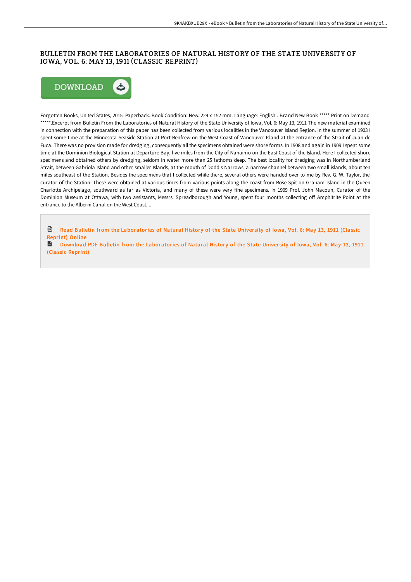## BULLETIN FROM THE LABORATORIES OF NATURAL HISTORY OF THE STATE UNIVERSITY OF IOWA, VOL. 6: MAY 13, 1911 (CLASSIC REPRINT)



Forgotten Books, United States, 2015. Paperback. Book Condition: New. 229 x 152 mm. Language: English . Brand New Book \*\*\*\*\* Print on Demand \*\*\*\*\*.Excerpt from Bulletin From the Laboratories of Natural History of the State University of Iowa, Vol. 6: May 13, 1911 The new material examined in connection with the preparation of this paper has been collected from various localities in the Vancouver Island Region. In the summer of 1903 I spent some time at the Minnesota Seaside Station at Port Renfrew on the West Coast of Vancouver Island at the entrance of the Strait of Juan de Fuca. There was no provision made for dredging, consequently all the specimens obtained were shore forms. In 1908 and again in 1909 I spent some time at the Dominion Biological Station at Departure Bay, five miles from the City of Nanaimo on the East Coast of the Island. Here I collected shore specimens and obtained others by dredging, seldom in water more than 25 fathoms deep. The best locality for dredging was in Northumberland Strait, between Gabriola Island and other smaller Islands, at the mouth of Dodd s Narrows, a narrow channel between two small islands, about ten miles southeast of the Station. Besides the specimens that I collected while there, several others were handed over to me by Rev. G. W. Taylor, the curator of the Station. These were obtained at various times from various points along the coast from Rose Spit on Graham Island in the Queen Charlotte Archipelago, southward as far as Victoria, and many of these were very fine specimens. In 1909 Prof. John Macoun, Curator of the Dominion Museum at Ottawa, with two assistants, Messrs. Spreadborough and Young, spent four months collecting off Amphitrite Point at the entrance to the Alberni Canal on the West Coast,...

<sup>@</sup> Read Bulletin from the [Laboratories](http://www.bookdirs.com/bulletin-from-the-laboratories-of-natural-histor.html) of Natural History of the State University of Iowa, Vol. 6: May 13, 1911 (Classic Reprint) Online

 $\mathbf{E}$ Download PDF Bulletin from the [Laboratories](http://www.bookdirs.com/bulletin-from-the-laboratories-of-natural-histor.html) of Natural History of the State University of Iowa, Vol. 6: May 13, 1911 (Classic Reprint)